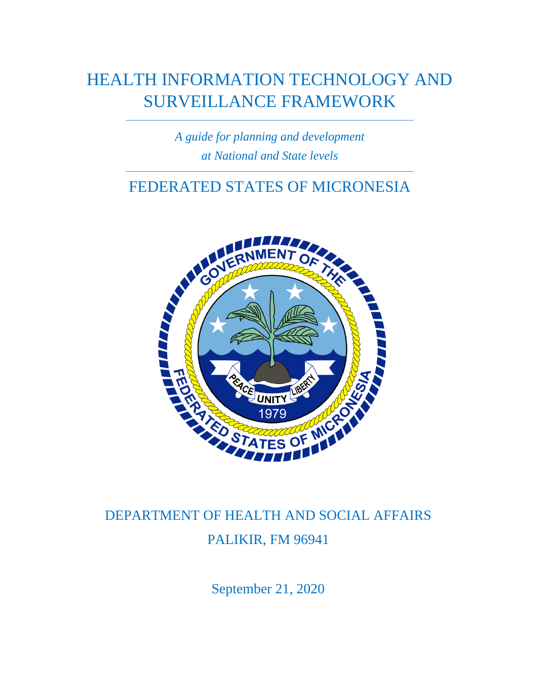# HEALTH INFORMATION TECHNOLOGY AND SURVEILLANCE FRAMEWORK

*A guide for planning and development at National and State levels*

## FEDERATED STATES OF MICRONESIA



# DEPARTMENT OF HEALTH AND SOCIAL AFFAIRS PALIKIR, FM 96941

September 21, 2020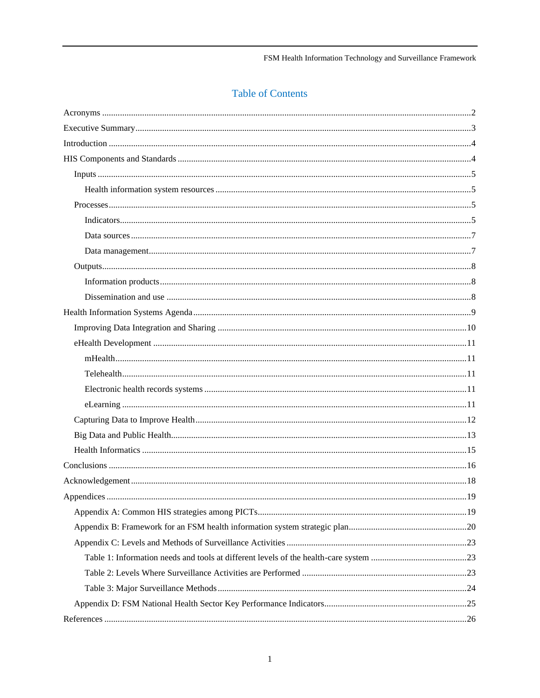### **Table of Contents**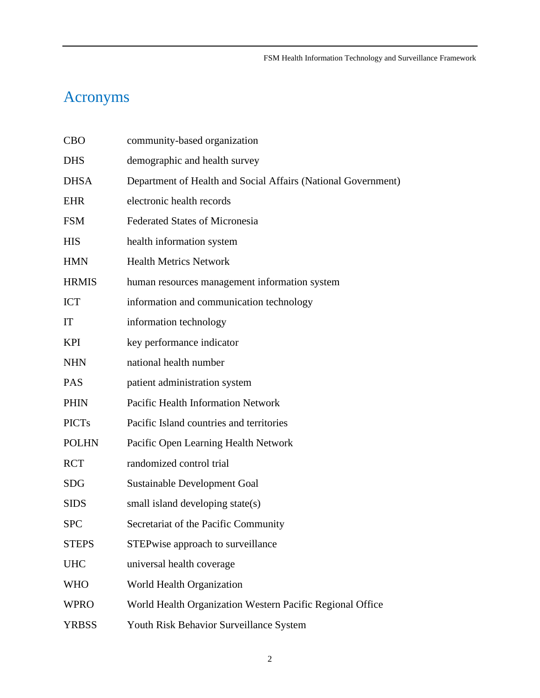# <span id="page-2-0"></span>Acronyms

| <b>CBO</b>   | community-based organization                                  |
|--------------|---------------------------------------------------------------|
| <b>DHS</b>   | demographic and health survey                                 |
| <b>DHSA</b>  | Department of Health and Social Affairs (National Government) |
| <b>EHR</b>   | electronic health records                                     |
| <b>FSM</b>   | <b>Federated States of Micronesia</b>                         |
| <b>HIS</b>   | health information system                                     |
| <b>HMN</b>   | <b>Health Metrics Network</b>                                 |
| <b>HRMIS</b> | human resources management information system                 |
| <b>ICT</b>   | information and communication technology                      |
| IT           | information technology                                        |
| <b>KPI</b>   | key performance indicator                                     |
| <b>NHN</b>   | national health number                                        |
| <b>PAS</b>   | patient administration system                                 |
| <b>PHIN</b>  | Pacific Health Information Network                            |
| <b>PICTs</b> | Pacific Island countries and territories                      |
| <b>POLHN</b> | Pacific Open Learning Health Network                          |
| <b>RCT</b>   | randomized control trial                                      |
| <b>SDG</b>   | <b>Sustainable Development Goal</b>                           |
| <b>SIDS</b>  | small island developing state(s)                              |
| <b>SPC</b>   | Secretariat of the Pacific Community                          |
| <b>STEPS</b> | STEPwise approach to surveillance                             |
| <b>UHC</b>   | universal health coverage                                     |
| <b>WHO</b>   | World Health Organization                                     |
| <b>WPRO</b>  | World Health Organization Western Pacific Regional Office     |
| <b>YRBSS</b> | Youth Risk Behavior Surveillance System                       |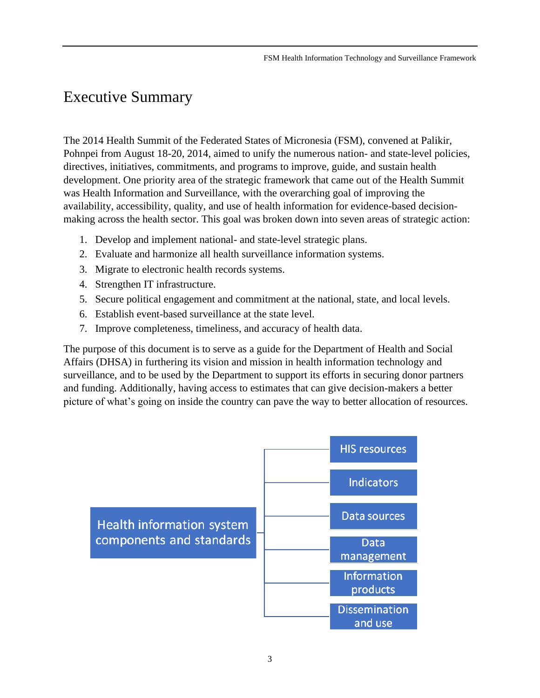## <span id="page-3-0"></span>Executive Summary

The 2014 Health Summit of the Federated States of Micronesia (FSM), convened at Palikir, Pohnpei from August 18-20, 2014, aimed to unify the numerous nation- and state-level policies, directives, initiatives, commitments, and programs to improve, guide, and sustain health development. One priority area of the strategic framework that came out of the Health Summit was Health Information and Surveillance, with the overarching goal of improving the availability, accessibility, quality, and use of health information for evidence-based decisionmaking across the health sector. This goal was broken down into seven areas of strategic action:

- 1. Develop and implement national- and state-level strategic plans.
- 2. Evaluate and harmonize all health surveillance information systems.
- 3. Migrate to electronic health records systems.
- 4. Strengthen IT infrastructure.
- 5. Secure political engagement and commitment at the national, state, and local levels.
- 6. Establish event-based surveillance at the state level.
- 7. Improve completeness, timeliness, and accuracy of health data.

The purpose of this document is to serve as a guide for the Department of Health and Social Affairs (DHSA) in furthering its vision and mission in health information technology and surveillance, and to be used by the Department to support its efforts in securing donor partners and funding. Additionally, having access to estimates that can give decision-makers a better picture of what's going on inside the country can pave the way to better allocation of resources.

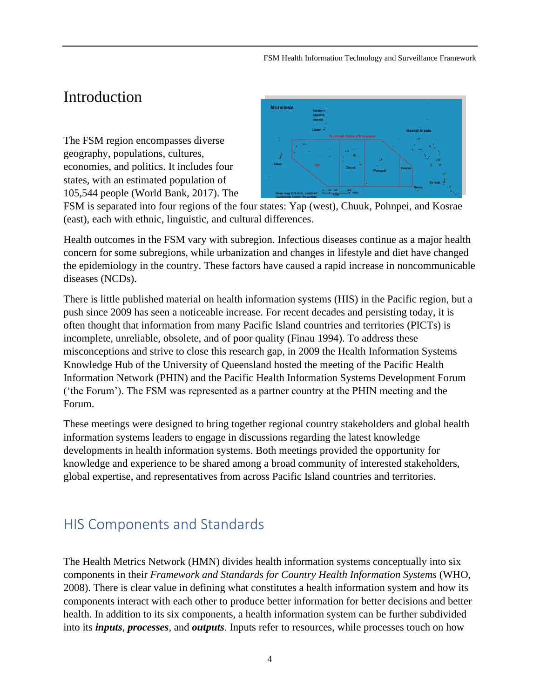## <span id="page-4-0"></span>Introduction

The FSM region encompasses diverse geography, populations, cultures, economies, and politics. It includes four states, with an estimated population of 105,544 people (World Bank, 2017). The



FSM is separated into four regions of the four states: Yap (west), Chuuk, Pohnpei, and Kosrae (east), each with ethnic, linguistic, and cultural differences.

Health outcomes in the FSM vary with subregion. Infectious diseases continue as a major health concern for some subregions, while urbanization and changes in lifestyle and diet have changed the epidemiology in the country. These factors have caused a rapid increase in noncommunicable diseases (NCDs).

There is little published material on health information systems (HIS) in the Pacific region, but a push since 2009 has seen a noticeable increase. For recent decades and persisting today, it is often thought that information from many Pacific Island countries and territories (PICTs) is incomplete, unreliable, obsolete, and of poor quality (Finau 1994). To address these misconceptions and strive to close this research gap, in 2009 the Health Information Systems Knowledge Hub of the University of Queensland hosted the meeting of the Pacific Health Information Network (PHIN) and the Pacific Health Information Systems Development Forum ('the Forum'). The FSM was represented as a partner country at the PHIN meeting and the Forum.

These meetings were designed to bring together regional country stakeholders and global health information systems leaders to engage in discussions regarding the latest knowledge developments in health information systems. Both meetings provided the opportunity for knowledge and experience to be shared among a broad community of interested stakeholders, global expertise, and representatives from across Pacific Island countries and territories.

## <span id="page-4-1"></span>HIS Components and Standards

The Health Metrics Network (HMN) divides health information systems conceptually into six components in their *Framework and Standards for Country Health Information Systems* (WHO, 2008). There is clear value in defining what constitutes a health information system and how its components interact with each other to produce better information for better decisions and better health. In addition to its six components, a health information system can be further subdivided into its *inputs*, *processes*, and *outputs*. Inputs refer to resources, while processes touch on how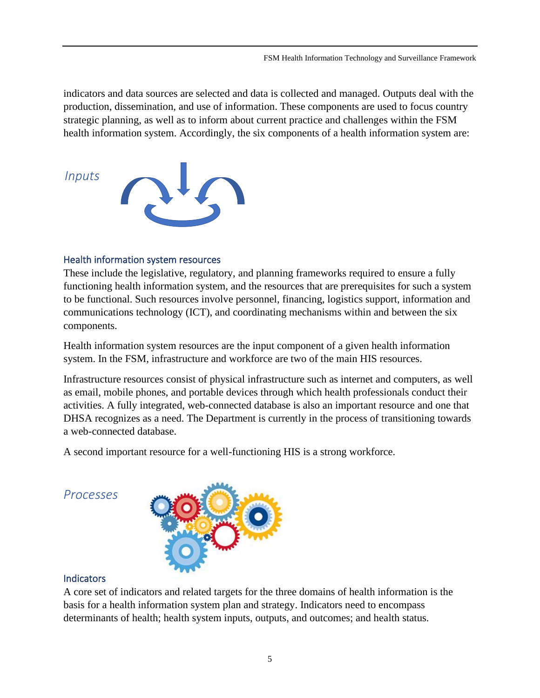indicators and data sources are selected and data is collected and managed. Outputs deal with the production, dissemination, and use of information. These components are used to focus country strategic planning, as well as to inform about current practice and challenges within the FSM health information system. Accordingly, the six components of a health information system are:

<span id="page-5-0"></span>

#### <span id="page-5-1"></span>Health information system resources

These include the legislative, regulatory, and planning frameworks required to ensure a fully functioning health information system, and the resources that are prerequisites for such a system to be functional. Such resources involve personnel, financing, logistics support, information and communications technology (ICT), and coordinating mechanisms within and between the six components.

Health information system resources are the input component of a given health information system. In the FSM, infrastructure and workforce are two of the main HIS resources.

Infrastructure resources consist of physical infrastructure such as internet and computers, as well as email, mobile phones, and portable devices through which health professionals conduct their activities. A fully integrated, web-connected database is also an important resource and one that DHSA recognizes as a need. The Department is currently in the process of transitioning towards a web-connected database.

A second important resource for a well-functioning HIS is a strong workforce.

<span id="page-5-2"></span>*Processes*



#### <span id="page-5-3"></span>**Indicators**

A core set of indicators and related targets for the three domains of health information is the basis for a health information system plan and strategy. Indicators need to encompass determinants of health; health system inputs, outputs, and outcomes; and health status.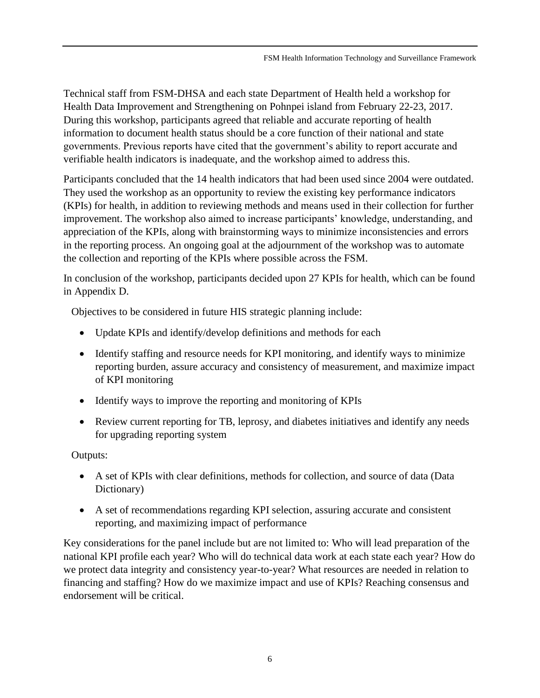Technical staff from FSM-DHSA and each state Department of Health held a workshop for Health Data Improvement and Strengthening on Pohnpei island from February 22-23, 2017. During this workshop, participants agreed that reliable and accurate reporting of health information to document health status should be a core function of their national and state governments. Previous reports have cited that the government's ability to report accurate and verifiable health indicators is inadequate, and the workshop aimed to address this.

Participants concluded that the 14 health indicators that had been used since 2004 were outdated. They used the workshop as an opportunity to review the existing key performance indicators (KPIs) for health, in addition to reviewing methods and means used in their collection for further improvement. The workshop also aimed to increase participants' knowledge, understanding, and appreciation of the KPIs, along with brainstorming ways to minimize inconsistencies and errors in the reporting process. An ongoing goal at the adjournment of the workshop was to automate the collection and reporting of the KPIs where possible across the FSM.

In conclusion of the workshop, participants decided upon 27 KPIs for health, which can be found in Appendix D.

Objectives to be considered in future HIS strategic planning include:

- Update KPIs and identify/develop definitions and methods for each
- Identify staffing and resource needs for KPI monitoring, and identify ways to minimize reporting burden, assure accuracy and consistency of measurement, and maximize impact of KPI monitoring
- Identify ways to improve the reporting and monitoring of KPIs
- Review current reporting for TB, leprosy, and diabetes initiatives and identify any needs for upgrading reporting system

Outputs:

- A set of KPIs with clear definitions, methods for collection, and source of data (Data Dictionary)
- A set of recommendations regarding KPI selection, assuring accurate and consistent reporting, and maximizing impact of performance

Key considerations for the panel include but are not limited to: Who will lead preparation of the national KPI profile each year? Who will do technical data work at each state each year? How do we protect data integrity and consistency year-to-year? What resources are needed in relation to financing and staffing? How do we maximize impact and use of KPIs? Reaching consensus and endorsement will be critical.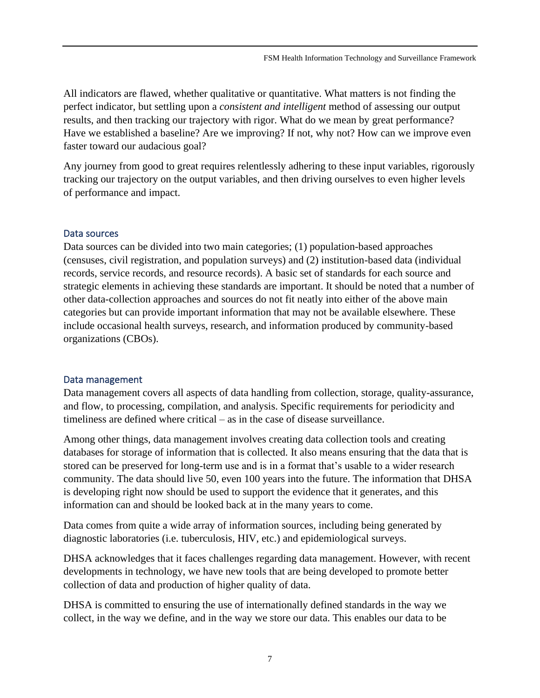All indicators are flawed, whether qualitative or quantitative. What matters is not finding the perfect indicator, but settling upon a *consistent and intelligent* method of assessing our output results, and then tracking our trajectory with rigor. What do we mean by great performance? Have we established a baseline? Are we improving? If not, why not? How can we improve even faster toward our audacious goal?

Any journey from good to great requires relentlessly adhering to these input variables, rigorously tracking our trajectory on the output variables, and then driving ourselves to even higher levels of performance and impact.

#### <span id="page-7-0"></span>Data sources

Data sources can be divided into two main categories; (1) population-based approaches (censuses, civil registration, and population surveys) and (2) institution-based data (individual records, service records, and resource records). A basic set of standards for each source and strategic elements in achieving these standards are important. It should be noted that a number of other data-collection approaches and sources do not fit neatly into either of the above main categories but can provide important information that may not be available elsewhere. These include occasional health surveys, research, and information produced by community-based organizations (CBOs).

#### <span id="page-7-1"></span>Data management

Data management covers all aspects of data handling from collection, storage, quality-assurance, and flow, to processing, compilation, and analysis. Specific requirements for periodicity and timeliness are defined where critical – as in the case of disease surveillance.

Among other things, data management involves creating data collection tools and creating databases for storage of information that is collected. It also means ensuring that the data that is stored can be preserved for long-term use and is in a format that's usable to a wider research community. The data should live 50, even 100 years into the future. The information that DHSA is developing right now should be used to support the evidence that it generates, and this information can and should be looked back at in the many years to come.

Data comes from quite a wide array of information sources, including being generated by diagnostic laboratories (i.e. tuberculosis, HIV, etc.) and epidemiological surveys.

DHSA acknowledges that it faces challenges regarding data management. However, with recent developments in technology, we have new tools that are being developed to promote better collection of data and production of higher quality of data.

DHSA is committed to ensuring the use of internationally defined standards in the way we collect, in the way we define, and in the way we store our data. This enables our data to be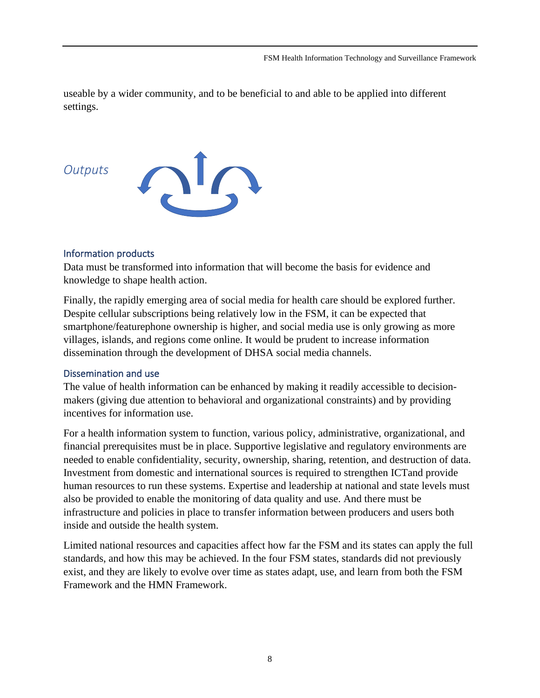useable by a wider community, and to be beneficial to and able to be applied into different settings.

### <span id="page-8-0"></span>*Outputs*



### <span id="page-8-1"></span>Information products

Data must be transformed into information that will become the basis for evidence and knowledge to shape health action.

Finally, the rapidly emerging area of social media for health care should be explored further. Despite cellular subscriptions being relatively low in the FSM, it can be expected that smartphone/featurephone ownership is higher, and social media use is only growing as more villages, islands, and regions come online. It would be prudent to increase information dissemination through the development of DHSA social media channels.

### <span id="page-8-2"></span>Dissemination and use

The value of health information can be enhanced by making it readily accessible to decisionmakers (giving due attention to behavioral and organizational constraints) and by providing incentives for information use.

For a health information system to function, various policy, administrative, organizational, and financial prerequisites must be in place. Supportive legislative and regulatory environments are needed to enable confidentiality, security, ownership, sharing, retention, and destruction of data. Investment from domestic and international sources is required to strengthen ICTand provide human resources to run these systems. Expertise and leadership at national and state levels must also be provided to enable the monitoring of data quality and use. And there must be infrastructure and policies in place to transfer information between producers and users both inside and outside the health system.

Limited national resources and capacities affect how far the FSM and its states can apply the full standards, and how this may be achieved. In the four FSM states, standards did not previously exist, and they are likely to evolve over time as states adapt, use, and learn from both the FSM Framework and the HMN Framework.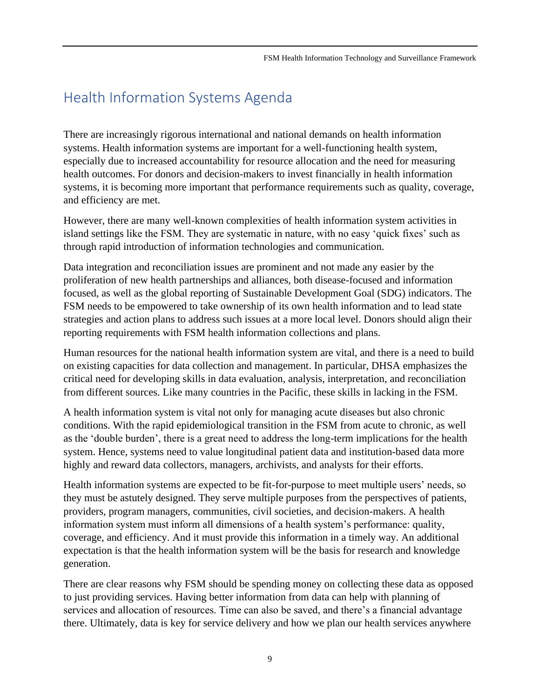## <span id="page-9-0"></span>Health Information Systems Agenda

There are increasingly rigorous international and national demands on health information systems. Health information systems are important for a well-functioning health system, especially due to increased accountability for resource allocation and the need for measuring health outcomes. For donors and decision-makers to invest financially in health information systems, it is becoming more important that performance requirements such as quality, coverage, and efficiency are met.

However, there are many well-known complexities of health information system activities in island settings like the FSM. They are systematic in nature, with no easy 'quick fixes' such as through rapid introduction of information technologies and communication.

Data integration and reconciliation issues are prominent and not made any easier by the proliferation of new health partnerships and alliances, both disease-focused and information focused, as well as the global reporting of Sustainable Development Goal (SDG) indicators. The FSM needs to be empowered to take ownership of its own health information and to lead state strategies and action plans to address such issues at a more local level. Donors should align their reporting requirements with FSM health information collections and plans.

Human resources for the national health information system are vital, and there is a need to build on existing capacities for data collection and management. In particular, DHSA emphasizes the critical need for developing skills in data evaluation, analysis, interpretation, and reconciliation from different sources. Like many countries in the Pacific, these skills in lacking in the FSM.

A health information system is vital not only for managing acute diseases but also chronic conditions. With the rapid epidemiological transition in the FSM from acute to chronic, as well as the 'double burden', there is a great need to address the long-term implications for the health system. Hence, systems need to value longitudinal patient data and institution-based data more highly and reward data collectors, managers, archivists, and analysts for their efforts.

Health information systems are expected to be fit-for-purpose to meet multiple users' needs, so they must be astutely designed. They serve multiple purposes from the perspectives of patients, providers, program managers, communities, civil societies, and decision-makers. A health information system must inform all dimensions of a health system's performance: quality, coverage, and efficiency. And it must provide this information in a timely way. An additional expectation is that the health information system will be the basis for research and knowledge generation.

There are clear reasons why FSM should be spending money on collecting these data as opposed to just providing services. Having better information from data can help with planning of services and allocation of resources. Time can also be saved, and there's a financial advantage there. Ultimately, data is key for service delivery and how we plan our health services anywhere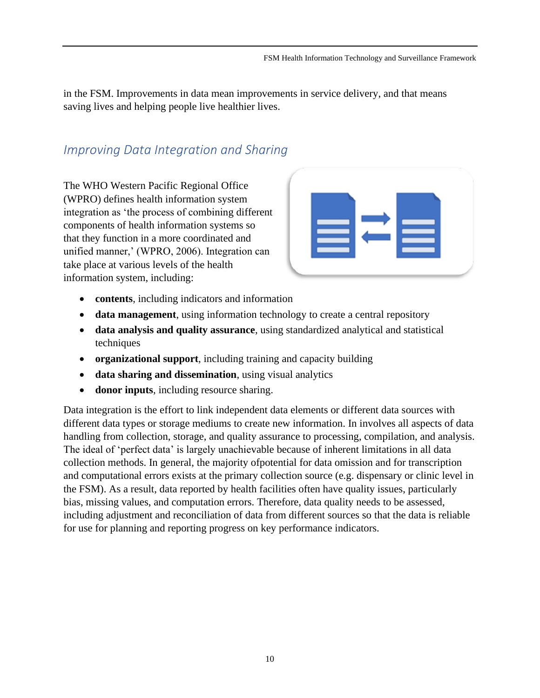in the FSM. Improvements in data mean improvements in service delivery, and that means saving lives and helping people live healthier lives.

### <span id="page-10-0"></span>*Improving Data Integration and Sharing*

The WHO Western Pacific Regional Office (WPRO) defines health information system integration as 'the process of combining different components of health information systems so that they function in a more coordinated and unified manner,' (WPRO, 2006). Integration can take place at various levels of the health information system, including:



- **contents**, including indicators and information
- **data management**, using information technology to create a central repository
- **data analysis and quality assurance**, using standardized analytical and statistical techniques
- **organizational support**, including training and capacity building
- **data sharing and dissemination**, using visual analytics
- **donor inputs**, including resource sharing.

Data integration is the effort to link independent data elements or different data sources with different data types or storage mediums to create new information. In involves all aspects of data handling from collection, storage, and quality assurance to processing, compilation, and analysis. The ideal of 'perfect data' is largely unachievable because of inherent limitations in all data collection methods. In general, the majority ofpotential for data omission and for transcription and computational errors exists at the primary collection source (e.g. dispensary or clinic level in the FSM). As a result, data reported by health facilities often have quality issues, particularly bias, missing values, and computation errors. Therefore, data quality needs to be assessed, including adjustment and reconciliation of data from different sources so that the data is reliable for use for planning and reporting progress on key performance indicators.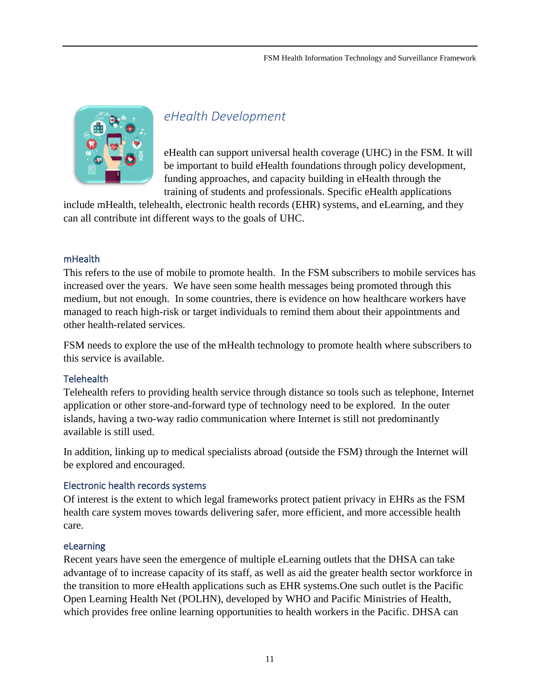

### <span id="page-11-0"></span>*eHealth Development*

eHealth can support universal health coverage (UHC) in the FSM. It will be important to build eHealth foundations through policy development, funding approaches, and capacity building in eHealth through the training of students and professionals. Specific eHealth applications

include mHealth, telehealth, electronic health records (EHR) systems, and eLearning, and they can all contribute int different ways to the goals of UHC.

#### <span id="page-11-1"></span>mHealth

This refers to the use of mobile to promote health. In the FSM subscribers to mobile services has increased over the years. We have seen some health messages being promoted through this medium, but not enough. In some countries, there is evidence on how healthcare workers have managed to reach high-risk or target individuals to remind them about their appointments and other health-related services.

FSM needs to explore the use of the mHealth technology to promote health where subscribers to this service is available.

### <span id="page-11-2"></span>**Telehealth**

Telehealth refers to providing health service through distance so tools such as telephone, Internet application or other store-and-forward type of technology need to be explored. In the outer islands, having a two-way radio communication where Internet is still not predominantly available is still used.

In addition, linking up to medical specialists abroad (outside the FSM) through the Internet will be explored and encouraged.

### <span id="page-11-3"></span>Electronic health records systems

Of interest is the extent to which legal frameworks protect patient privacy in EHRs as the FSM health care system moves towards delivering safer, more efficient, and more accessible health care.

#### <span id="page-11-4"></span>eLearning

Recent years have seen the emergence of multiple eLearning outlets that the DHSA can take advantage of to increase capacity of its staff, as well as aid the greater health sector workforce in the transition to more eHealth applications such as EHR systems.One such outlet is the Pacific Open Learning Health Net (POLHN), developed by WHO and Pacific Ministries of Health, which provides free online learning opportunities to health workers in the Pacific. DHSA can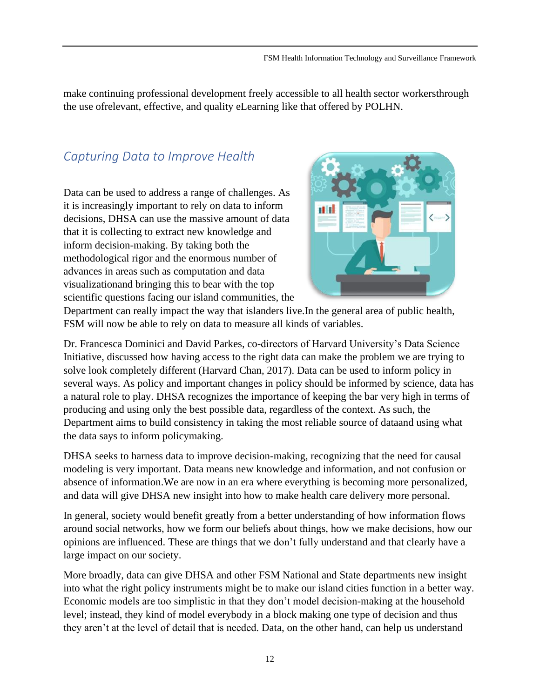make continuing professional development freely accessible to all health sector workersthrough the use ofrelevant, effective, and quality eLearning like that offered by POLHN.

### <span id="page-12-0"></span>*Capturing Data to Improve Health*

Data can be used to address a range of challenges. As it is increasingly important to rely on data to inform decisions, DHSA can use the massive amount of data that it is collecting to extract new knowledge and inform decision-making. By taking both the methodological rigor and the enormous number of advances in areas such as computation and data visualizationand bringing this to bear with the top scientific questions facing our island communities, the



Department can really impact the way that islanders live.In the general area of public health, FSM will now be able to rely on data to measure all kinds of variables.

Dr. Francesca Dominici and David Parkes, co-directors of Harvard University's Data Science Initiative, discussed how having access to the right data can make the problem we are trying to solve look completely different (Harvard Chan, 2017). Data can be used to inform policy in several ways. As policy and important changes in policy should be informed by science, data has a natural role to play. DHSA recognizes the importance of keeping the bar very high in terms of producing and using only the best possible data, regardless of the context. As such, the Department aims to build consistency in taking the most reliable source of dataand using what the data says to inform policymaking.

DHSA seeks to harness data to improve decision-making, recognizing that the need for causal modeling is very important. Data means new knowledge and information, and not confusion or absence of information.We are now in an era where everything is becoming more personalized, and data will give DHSA new insight into how to make health care delivery more personal.

In general, society would benefit greatly from a better understanding of how information flows around social networks, how we form our beliefs about things, how we make decisions, how our opinions are influenced. These are things that we don't fully understand and that clearly have a large impact on our society.

More broadly, data can give DHSA and other FSM National and State departments new insight into what the right policy instruments might be to make our island cities function in a better way. Economic models are too simplistic in that they don't model decision-making at the household level; instead, they kind of model everybody in a block making one type of decision and thus they aren't at the level of detail that is needed. Data, on the other hand, can help us understand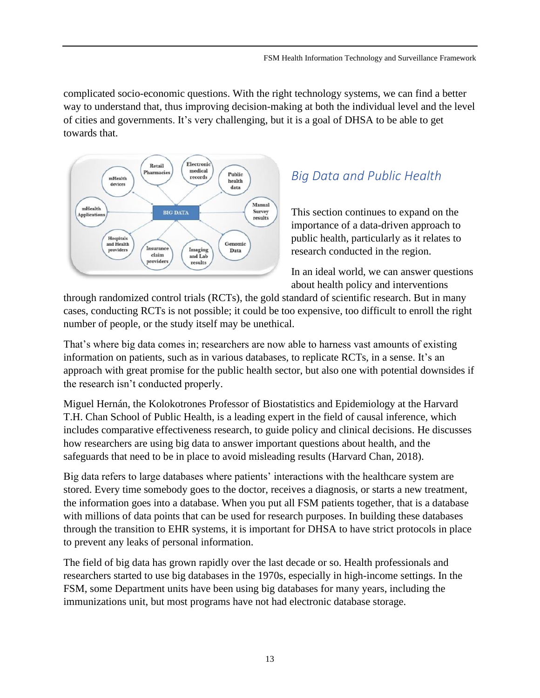complicated socio-economic questions. With the right technology systems, we can find a better way to understand that, thus improving decision-making at both the individual level and the level of cities and governments. It's very challenging, but it is a goal of DHSA to be able to get towards that.



## <span id="page-13-0"></span>*Big Data and Public Health*

This section continues to expand on the importance of a data-driven approach to public health, particularly as it relates to research conducted in the region.

In an ideal world, we can answer questions about health policy and interventions

through randomized control trials (RCTs), the gold standard of scientific research. But in many cases, conducting RCTs is not possible; it could be too expensive, too difficult to enroll the right number of people, or the study itself may be unethical.

That's where big data comes in; researchers are now able to harness vast amounts of existing information on patients, such as in various databases, to replicate RCTs, in a sense. It's an approach with great promise for the public health sector, but also one with potential downsides if the research isn't conducted properly.

Miguel Hernán, the Kolokotrones Professor of Biostatistics and Epidemiology at the Harvard T.H. Chan School of Public Health, is a leading expert in the field of causal inference, which includes comparative effectiveness research, to guide policy and clinical decisions. He discusses how researchers are using big data to answer important questions about health, and the safeguards that need to be in place to avoid misleading results (Harvard Chan, 2018).

Big data refers to large databases where patients' interactions with the healthcare system are stored. Every time somebody goes to the doctor, receives a diagnosis, or starts a new treatment, the information goes into a database. When you put all FSM patients together, that is a database with millions of data points that can be used for research purposes. In building these databases through the transition to EHR systems, it is important for DHSA to have strict protocols in place to prevent any leaks of personal information.

The field of big data has grown rapidly over the last decade or so. Health professionals and researchers started to use big databases in the 1970s, especially in high-income settings. In the FSM, some Department units have been using big databases for many years, including the immunizations unit, but most programs have not had electronic database storage.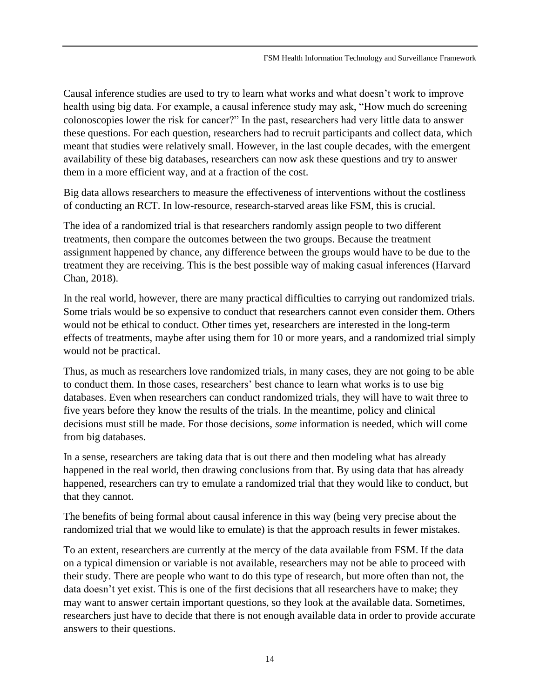Causal inference studies are used to try to learn what works and what doesn't work to improve health using big data. For example, a causal inference study may ask, "How much do screening colonoscopies lower the risk for cancer?" In the past, researchers had very little data to answer these questions. For each question, researchers had to recruit participants and collect data, which meant that studies were relatively small. However, in the last couple decades, with the emergent availability of these big databases, researchers can now ask these questions and try to answer them in a more efficient way, and at a fraction of the cost.

Big data allows researchers to measure the effectiveness of interventions without the costliness of conducting an RCT. In low-resource, research-starved areas like FSM, this is crucial.

The idea of a randomized trial is that researchers randomly assign people to two different treatments, then compare the outcomes between the two groups. Because the treatment assignment happened by chance, any difference between the groups would have to be due to the treatment they are receiving. This is the best possible way of making casual inferences (Harvard Chan, 2018).

In the real world, however, there are many practical difficulties to carrying out randomized trials. Some trials would be so expensive to conduct that researchers cannot even consider them. Others would not be ethical to conduct. Other times yet, researchers are interested in the long-term effects of treatments, maybe after using them for 10 or more years, and a randomized trial simply would not be practical.

Thus, as much as researchers love randomized trials, in many cases, they are not going to be able to conduct them. In those cases, researchers' best chance to learn what works is to use big databases. Even when researchers can conduct randomized trials, they will have to wait three to five years before they know the results of the trials. In the meantime, policy and clinical decisions must still be made. For those decisions, *some* information is needed, which will come from big databases.

In a sense, researchers are taking data that is out there and then modeling what has already happened in the real world, then drawing conclusions from that. By using data that has already happened, researchers can try to emulate a randomized trial that they would like to conduct, but that they cannot.

The benefits of being formal about causal inference in this way (being very precise about the randomized trial that we would like to emulate) is that the approach results in fewer mistakes.

To an extent, researchers are currently at the mercy of the data available from FSM. If the data on a typical dimension or variable is not available, researchers may not be able to proceed with their study. There are people who want to do this type of research, but more often than not, the data doesn't yet exist. This is one of the first decisions that all researchers have to make; they may want to answer certain important questions, so they look at the available data. Sometimes, researchers just have to decide that there is not enough available data in order to provide accurate answers to their questions.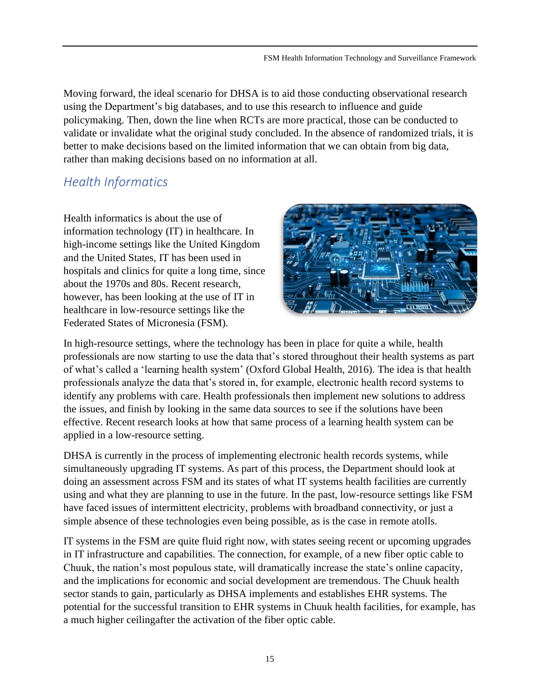Moving forward, the ideal scenario for DHSA is to aid those conducting observational research using the Department's big databases, and to use this research to influence and guide policymaking. Then, down the line when RCTs are more practical, those can be conducted to validate or invalidate what the original study concluded. In the absence of randomized trials, it is better to make decisions based on the limited information that we can obtain from big data, rather than making decisions based on no information at all.

### <span id="page-15-0"></span>*Health Informatics*

Health informatics is about the use of information technology (IT) in healthcare. In high-income settings like the United Kingdom and the United States, IT has been used in hospitals and clinics for quite a long time, since about the 1970s and 80s. Recent research, however, has been looking at the use of IT in healthcare in low-resource settings like the Federated States of Micronesia (FSM).



In high-resource settings, where the technology has been in place for quite a while, health professionals are now starting to use the data that's stored throughout their health systems as part of what's called a 'learning health system' (Oxford Global Health, 2016). The idea is that health professionals analyze the data that's stored in, for example, electronic health record systems to identify any problems with care. Health professionals then implement new solutions to address the issues, and finish by looking in the same data sources to see if the solutions have been effective. Recent research looks at how that same process of a learning health system can be applied in a low-resource setting.

DHSA is currently in the process of implementing electronic health records systems, while simultaneously upgrading IT systems. As part of this process, the Department should look at doing an assessment across FSM and its states of what IT systems health facilities are currently using and what they are planning to use in the future. In the past, low-resource settings like FSM have faced issues of intermittent electricity, problems with broadband connectivity, or just a simple absence of these technologies even being possible, as is the case in remote atolls.

IT systems in the FSM are quite fluid right now, with states seeing recent or upcoming upgrades in IT infrastructure and capabilities. The connection, for example, of a new fiber optic cable to Chuuk, the nation's most populous state, will dramatically increase the state's online capacity, and the implications for economic and social development are tremendous. The Chuuk health sector stands to gain, particularly as DHSA implements and establishes EHR systems. The potential for the successful transition to EHR systems in Chuuk health facilities, for example, has a much higher ceilingafter the activation of the fiber optic cable.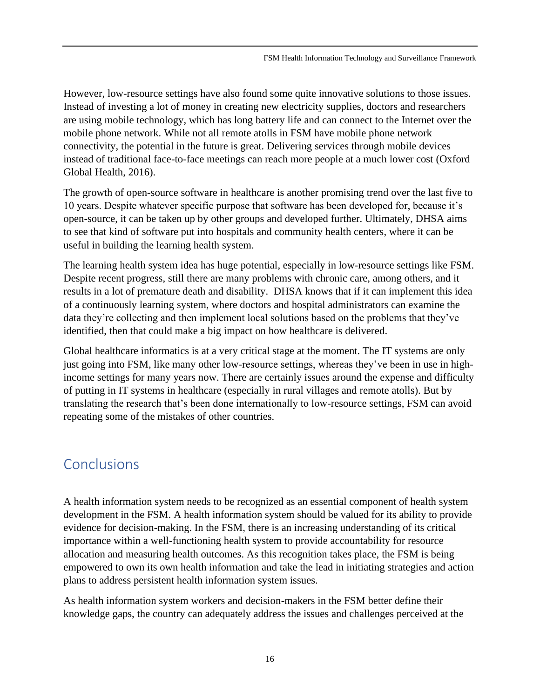However, low-resource settings have also found some quite innovative solutions to those issues. Instead of investing a lot of money in creating new electricity supplies, doctors and researchers are using mobile technology, which has long battery life and can connect to the Internet over the mobile phone network. While not all remote atolls in FSM have mobile phone network connectivity, the potential in the future is great. Delivering services through mobile devices instead of traditional face-to-face meetings can reach more people at a much lower cost (Oxford Global Health, 2016).

The growth of open-source software in healthcare is another promising trend over the last five to 10 years. Despite whatever specific purpose that software has been developed for, because it's open-source, it can be taken up by other groups and developed further. Ultimately, DHSA aims to see that kind of software put into hospitals and community health centers, where it can be useful in building the learning health system.

The learning health system idea has huge potential, especially in low-resource settings like FSM. Despite recent progress, still there are many problems with chronic care, among others, and it results in a lot of premature death and disability. DHSA knows that if it can implement this idea of a continuously learning system, where doctors and hospital administrators can examine the data they're collecting and then implement local solutions based on the problems that they've identified, then that could make a big impact on how healthcare is delivered.

Global healthcare informatics is at a very critical stage at the moment. The IT systems are only just going into FSM, like many other low-resource settings, whereas they've been in use in highincome settings for many years now. There are certainly issues around the expense and difficulty of putting in IT systems in healthcare (especially in rural villages and remote atolls). But by translating the research that's been done internationally to low-resource settings, FSM can avoid repeating some of the mistakes of other countries.

## <span id="page-16-0"></span>**Conclusions**

A health information system needs to be recognized as an essential component of health system development in the FSM. A health information system should be valued for its ability to provide evidence for decision-making. In the FSM, there is an increasing understanding of its critical importance within a well-functioning health system to provide accountability for resource allocation and measuring health outcomes. As this recognition takes place, the FSM is being empowered to own its own health information and take the lead in initiating strategies and action plans to address persistent health information system issues.

As health information system workers and decision-makers in the FSM better define their knowledge gaps, the country can adequately address the issues and challenges perceived at the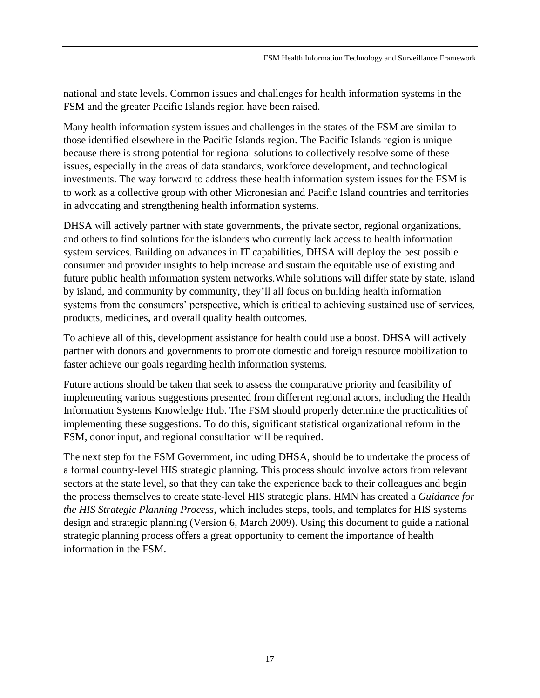national and state levels. Common issues and challenges for health information systems in the FSM and the greater Pacific Islands region have been raised.

Many health information system issues and challenges in the states of the FSM are similar to those identified elsewhere in the Pacific Islands region. The Pacific Islands region is unique because there is strong potential for regional solutions to collectively resolve some of these issues, especially in the areas of data standards, workforce development, and technological investments. The way forward to address these health information system issues for the FSM is to work as a collective group with other Micronesian and Pacific Island countries and territories in advocating and strengthening health information systems.

DHSA will actively partner with state governments, the private sector, regional organizations, and others to find solutions for the islanders who currently lack access to health information system services. Building on advances in IT capabilities, DHSA will deploy the best possible consumer and provider insights to help increase and sustain the equitable use of existing and future public health information system networks.While solutions will differ state by state, island by island, and community by community, they'll all focus on building health information systems from the consumers' perspective, which is critical to achieving sustained use of services, products, medicines, and overall quality health outcomes.

To achieve all of this, development assistance for health could use a boost. DHSA will actively partner with donors and governments to promote domestic and foreign resource mobilization to faster achieve our goals regarding health information systems.

Future actions should be taken that seek to assess the comparative priority and feasibility of implementing various suggestions presented from different regional actors, including the Health Information Systems Knowledge Hub. The FSM should properly determine the practicalities of implementing these suggestions. To do this, significant statistical organizational reform in the FSM, donor input, and regional consultation will be required.

The next step for the FSM Government, including DHSA, should be to undertake the process of a formal country-level HIS strategic planning. This process should involve actors from relevant sectors at the state level, so that they can take the experience back to their colleagues and begin the process themselves to create state-level HIS strategic plans. HMN has created a *Guidance for the HIS Strategic Planning Process*, which includes steps, tools, and templates for HIS systems design and strategic planning (Version 6, March 2009). Using this document to guide a national strategic planning process offers a great opportunity to cement the importance of health information in the FSM.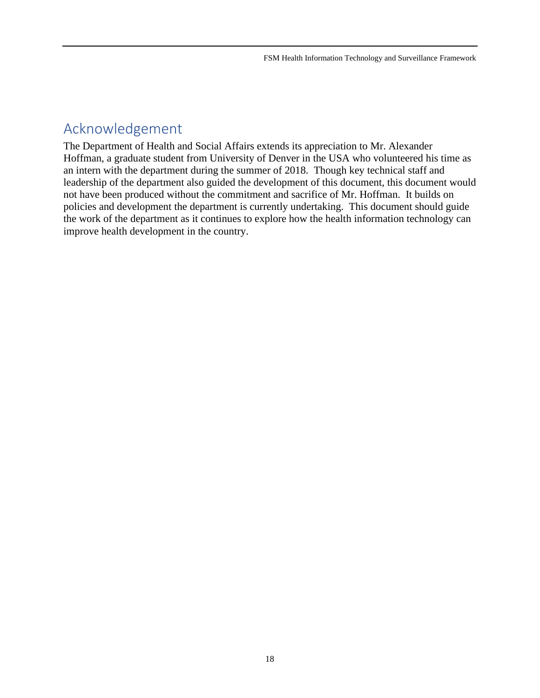### <span id="page-18-0"></span>Acknowledgement

The Department of Health and Social Affairs extends its appreciation to Mr. Alexander Hoffman, a graduate student from University of Denver in the USA who volunteered his time as an intern with the department during the summer of 2018. Though key technical staff and leadership of the department also guided the development of this document, this document would not have been produced without the commitment and sacrifice of Mr. Hoffman. It builds on policies and development the department is currently undertaking. This document should guide the work of the department as it continues to explore how the health information technology can improve health development in the country.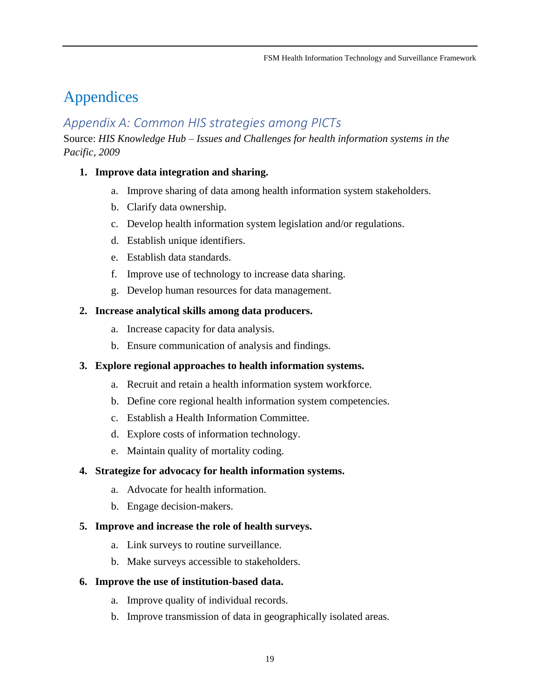## <span id="page-19-0"></span>Appendices

### <span id="page-19-1"></span>*Appendix A: Common HIS strategies among PICTs*

Source: *HIS Knowledge Hub – Issues and Challenges for health information systems in the Pacific, 2009*

### **1. Improve data integration and sharing.**

- a. Improve sharing of data among health information system stakeholders.
- b. Clarify data ownership.
- c. Develop health information system legislation and/or regulations.
- d. Establish unique identifiers.
- e. Establish data standards.
- f. Improve use of technology to increase data sharing.
- g. Develop human resources for data management.

### **2. Increase analytical skills among data producers.**

- a. Increase capacity for data analysis.
- b. Ensure communication of analysis and findings.

### **3. Explore regional approaches to health information systems.**

- a. Recruit and retain a health information system workforce.
- b. Define core regional health information system competencies.
- c. Establish a Health Information Committee.
- d. Explore costs of information technology.
- e. Maintain quality of mortality coding.

### **4. Strategize for advocacy for health information systems.**

- a. Advocate for health information.
- b. Engage decision-makers.

### **5. Improve and increase the role of health surveys.**

- a. Link surveys to routine surveillance.
- b. Make surveys accessible to stakeholders.

### **6. Improve the use of institution-based data.**

- a. Improve quality of individual records.
- b. Improve transmission of data in geographically isolated areas.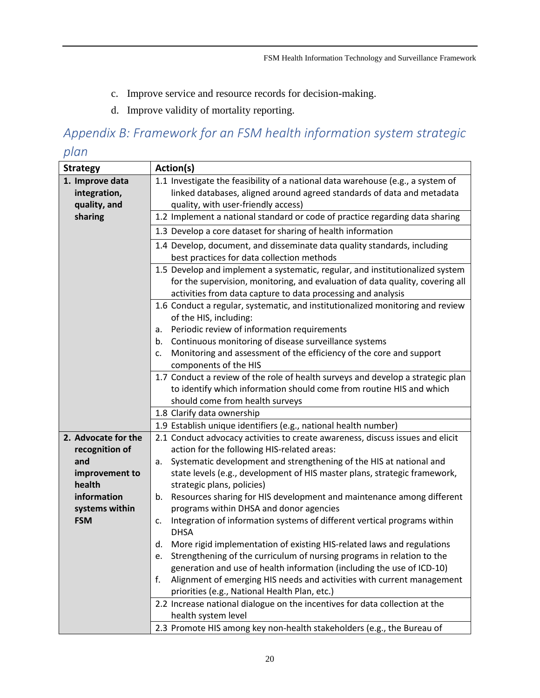- c. Improve service and resource records for decision-making.
- d. Improve validity of mortality reporting.

# <span id="page-20-0"></span>*Appendix B: Framework for an FSM health information system strategic*

### *plan*

| <b>Strategy</b>                                 | Action(s)                                                                                                                                                                                                                      |  |  |
|-------------------------------------------------|--------------------------------------------------------------------------------------------------------------------------------------------------------------------------------------------------------------------------------|--|--|
| 1. Improve data<br>integration,<br>quality, and | 1.1 Investigate the feasibility of a national data warehouse (e.g., a system of<br>linked databases, aligned around agreed standards of data and metadata<br>quality, with user-friendly access)                               |  |  |
| sharing                                         | 1.2 Implement a national standard or code of practice regarding data sharing                                                                                                                                                   |  |  |
|                                                 | 1.3 Develop a core dataset for sharing of health information                                                                                                                                                                   |  |  |
|                                                 | 1.4 Develop, document, and disseminate data quality standards, including<br>best practices for data collection methods                                                                                                         |  |  |
|                                                 | 1.5 Develop and implement a systematic, regular, and institutionalized system<br>for the supervision, monitoring, and evaluation of data quality, covering all<br>activities from data capture to data processing and analysis |  |  |
|                                                 | 1.6 Conduct a regular, systematic, and institutionalized monitoring and review<br>of the HIS, including:                                                                                                                       |  |  |
|                                                 | Periodic review of information requirements<br>a.<br>Continuous monitoring of disease surveillance systems                                                                                                                     |  |  |
|                                                 | b.<br>Monitoring and assessment of the efficiency of the core and support                                                                                                                                                      |  |  |
|                                                 | c.<br>components of the HIS                                                                                                                                                                                                    |  |  |
|                                                 | 1.7 Conduct a review of the role of health surveys and develop a strategic plan                                                                                                                                                |  |  |
|                                                 | to identify which information should come from routine HIS and which                                                                                                                                                           |  |  |
|                                                 | should come from health surveys                                                                                                                                                                                                |  |  |
|                                                 | 1.8 Clarify data ownership                                                                                                                                                                                                     |  |  |
|                                                 | 1.9 Establish unique identifiers (e.g., national health number)                                                                                                                                                                |  |  |
| 2. Advocate for the                             | 2.1 Conduct advocacy activities to create awareness, discuss issues and elicit                                                                                                                                                 |  |  |
| recognition of                                  | action for the following HIS-related areas:                                                                                                                                                                                    |  |  |
| and                                             | Systematic development and strengthening of the HIS at national and<br>a.<br>state levels (e.g., development of HIS master plans, strategic framework,                                                                         |  |  |
| improvement to<br>health                        | strategic plans, policies)                                                                                                                                                                                                     |  |  |
| information                                     | Resources sharing for HIS development and maintenance among different<br>b.                                                                                                                                                    |  |  |
| systems within                                  | programs within DHSA and donor agencies                                                                                                                                                                                        |  |  |
| <b>FSM</b>                                      | Integration of information systems of different vertical programs within<br>c.<br><b>DHSA</b>                                                                                                                                  |  |  |
|                                                 | More rigid implementation of existing HIS-related laws and regulations<br>d.                                                                                                                                                   |  |  |
|                                                 | e. Strengthening of the curriculum of nursing programs in relation to the                                                                                                                                                      |  |  |
|                                                 | generation and use of health information (including the use of ICD-10)                                                                                                                                                         |  |  |
|                                                 | Alignment of emerging HIS needs and activities with current management<br>f.<br>priorities (e.g., National Health Plan, etc.)                                                                                                  |  |  |
|                                                 | 2.2 Increase national dialogue on the incentives for data collection at the                                                                                                                                                    |  |  |
|                                                 | health system level                                                                                                                                                                                                            |  |  |
|                                                 | 2.3 Promote HIS among key non-health stakeholders (e.g., the Bureau of                                                                                                                                                         |  |  |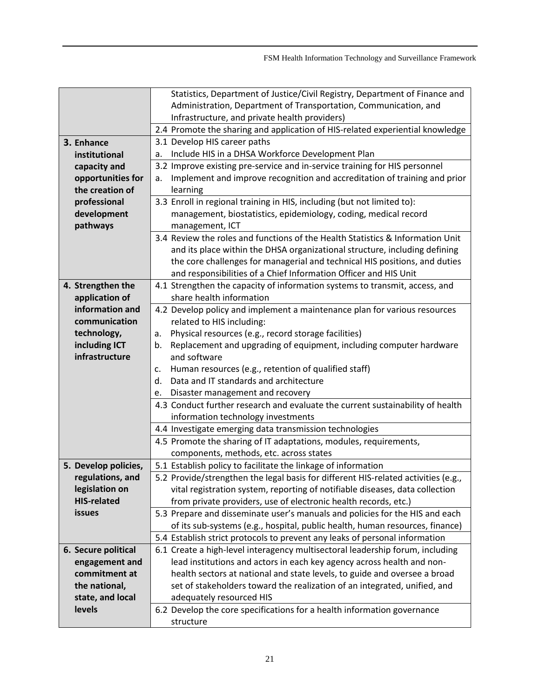|                                      | Statistics, Department of Justice/Civil Registry, Department of Finance and          |  |  |
|--------------------------------------|--------------------------------------------------------------------------------------|--|--|
|                                      | Administration, Department of Transportation, Communication, and                     |  |  |
|                                      | Infrastructure, and private health providers)                                        |  |  |
|                                      | 2.4 Promote the sharing and application of HIS-related experiential knowledge        |  |  |
| 3. Enhance                           | 3.1 Develop HIS career paths                                                         |  |  |
| institutional                        | Include HIS in a DHSA Workforce Development Plan<br>a.                               |  |  |
| capacity and                         | 3.2 Improve existing pre-service and in-service training for HIS personnel           |  |  |
| opportunities for                    | Implement and improve recognition and accreditation of training and prior<br>a.      |  |  |
| the creation of                      | learning                                                                             |  |  |
| professional                         | 3.3 Enroll in regional training in HIS, including (but not limited to):              |  |  |
| development                          | management, biostatistics, epidemiology, coding, medical record                      |  |  |
| pathways                             | management, ICT                                                                      |  |  |
|                                      | 3.4 Review the roles and functions of the Health Statistics & Information Unit       |  |  |
|                                      | and its place within the DHSA organizational structure, including defining           |  |  |
|                                      | the core challenges for managerial and technical HIS positions, and duties           |  |  |
|                                      | and responsibilities of a Chief Information Officer and HIS Unit                     |  |  |
| 4. Strengthen the                    | 4.1 Strengthen the capacity of information systems to transmit, access, and          |  |  |
| application of                       | share health information                                                             |  |  |
| information and                      | 4.2 Develop policy and implement a maintenance plan for various resources            |  |  |
| communication                        | related to HIS including:                                                            |  |  |
| technology,                          | Physical resources (e.g., record storage facilities)<br>a.                           |  |  |
| including ICT                        | Replacement and upgrading of equipment, including computer hardware<br>b.            |  |  |
| infrastructure                       | and software                                                                         |  |  |
|                                      | Human resources (e.g., retention of qualified staff)<br>c.                           |  |  |
|                                      | Data and IT standards and architecture<br>d.                                         |  |  |
|                                      | Disaster management and recovery<br>e.                                               |  |  |
|                                      | 4.3 Conduct further research and evaluate the current sustainability of health       |  |  |
|                                      | information technology investments                                                   |  |  |
|                                      | 4.4 Investigate emerging data transmission technologies                              |  |  |
|                                      | 4.5 Promote the sharing of IT adaptations, modules, requirements,                    |  |  |
|                                      | components, methods, etc. across states                                              |  |  |
| 5. Develop policies,                 | 5.1 Establish policy to facilitate the linkage of information                        |  |  |
| regulations, and                     | 5.2 Provide/strengthen the legal basis for different HIS-related activities (e.g.,   |  |  |
| legislation on<br><b>HIS-related</b> | vital registration system, reporting of notifiable diseases, data collection         |  |  |
| <b>issues</b>                        | from private providers, use of electronic health records, etc.)                      |  |  |
|                                      | 5.3 Prepare and disseminate user's manuals and policies for the HIS and each         |  |  |
|                                      | of its sub-systems (e.g., hospital, public health, human resources, finance)         |  |  |
|                                      | 5.4 Establish strict protocols to prevent any leaks of personal information          |  |  |
| 6. Secure political                  | 6.1 Create a high-level interagency multisectoral leadership forum, including        |  |  |
|                                      |                                                                                      |  |  |
| engagement and                       | lead institutions and actors in each key agency across health and non-               |  |  |
| commitment at                        | health sectors at national and state levels, to guide and oversee a broad            |  |  |
| the national,                        | set of stakeholders toward the realization of an integrated, unified, and            |  |  |
| state, and local                     | adequately resourced HIS                                                             |  |  |
| levels                               | 6.2 Develop the core specifications for a health information governance<br>structure |  |  |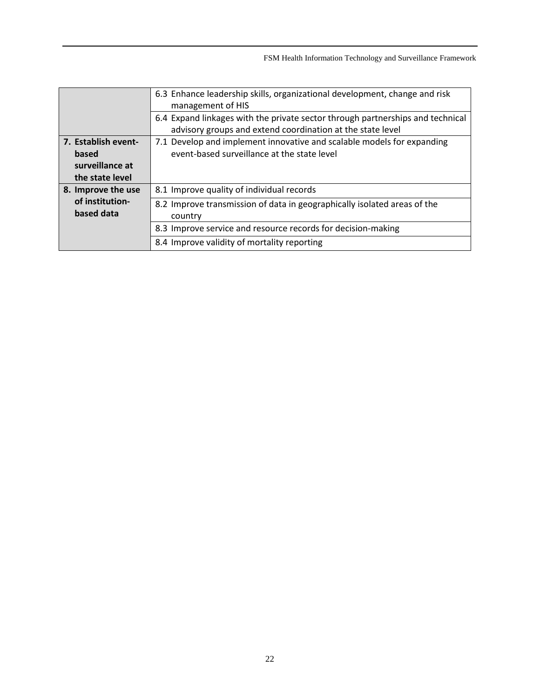|                                                                    | 6.3 Enhance leadership skills, organizational development, change and risk<br>management of HIS                                              |
|--------------------------------------------------------------------|----------------------------------------------------------------------------------------------------------------------------------------------|
|                                                                    | 6.4 Expand linkages with the private sector through partnerships and technical<br>advisory groups and extend coordination at the state level |
| 7. Establish event-<br>based<br>surveillance at<br>the state level | 7.1 Develop and implement innovative and scalable models for expanding<br>event-based surveillance at the state level                        |
| 8. Improve the use                                                 | 8.1 Improve quality of individual records                                                                                                    |
| of institution-<br>based data                                      | 8.2 Improve transmission of data in geographically isolated areas of the<br>country                                                          |
|                                                                    | 8.3 Improve service and resource records for decision-making                                                                                 |
|                                                                    | 8.4 Improve validity of mortality reporting                                                                                                  |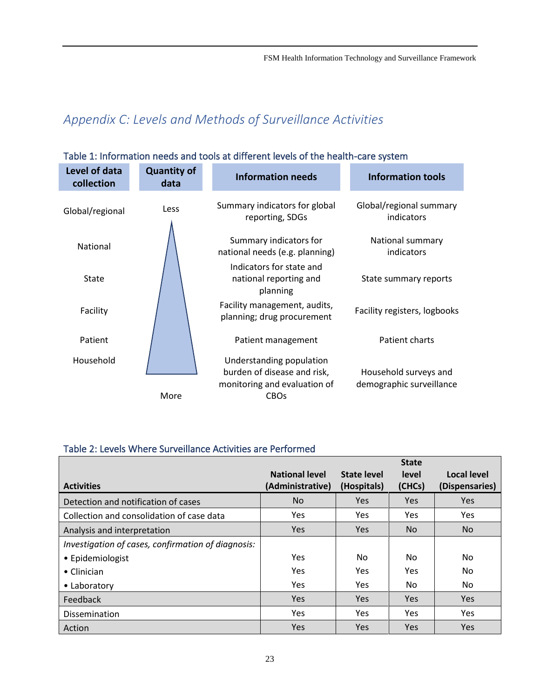## <span id="page-23-0"></span>*Appendix C: Levels and Methods of Surveillance Activities*

| Level of data<br>collection | <b>Quantity of</b><br>data | <b>Information needs</b>                                                                               | <b>Information tools</b>                          |
|-----------------------------|----------------------------|--------------------------------------------------------------------------------------------------------|---------------------------------------------------|
| Global/regional             | Less                       | Summary indicators for global<br>reporting, SDGs                                                       | Global/regional summary<br>indicators             |
| National                    |                            | Summary indicators for<br>national needs (e.g. planning)                                               | National summary<br>indicators                    |
| State                       |                            | Indicators for state and<br>national reporting and<br>planning                                         | State summary reports                             |
| Facility                    |                            | Facility management, audits,<br>planning; drug procurement                                             | Facility registers, logbooks                      |
| Patient                     |                            | Patient management                                                                                     | Patient charts                                    |
| Household                   | More                       | Understanding population<br>burden of disease and risk,<br>monitoring and evaluation of<br><b>CBOs</b> | Household surveys and<br>demographic surveillance |

### <span id="page-23-1"></span>Table 1: Information needs and tools at different levels of the health-care system

### <span id="page-23-2"></span>Table 2: Levels Where Surveillance Activities are Performed

|                                                    |                       |             | <b>State</b> |                |
|----------------------------------------------------|-----------------------|-------------|--------------|----------------|
|                                                    | <b>National level</b> | State level | level        | Local level    |
| <b>Activities</b>                                  | (Administrative)      | (Hospitals) | (CHCs)       | (Dispensaries) |
| Detection and notification of cases                | N <sub>o</sub>        | <b>Yes</b>  | <b>Yes</b>   | <b>Yes</b>     |
| Collection and consolidation of case data          | <b>Yes</b>            | <b>Yes</b>  | <b>Yes</b>   | <b>Yes</b>     |
| Analysis and interpretation                        | <b>Yes</b>            | <b>Yes</b>  | No.          | No.            |
| Investigation of cases, confirmation of diagnosis: |                       |             |              |                |
| • Epidemiologist                                   | Yes                   | No.         | No.          | No.            |
| $\bullet$ Clinician                                | Yes                   | <b>Yes</b>  | Yes.         | No.            |
| • Laboratory                                       | <b>Yes</b>            | <b>Yes</b>  | No.          | No.            |
| Feedback                                           | <b>Yes</b>            | <b>Yes</b>  | <b>Yes</b>   | <b>Yes</b>     |
| Dissemination                                      | Yes                   | <b>Yes</b>  | <b>Yes</b>   | Yes            |
| Action                                             | Yes                   | <b>Yes</b>  | Yes          | <b>Yes</b>     |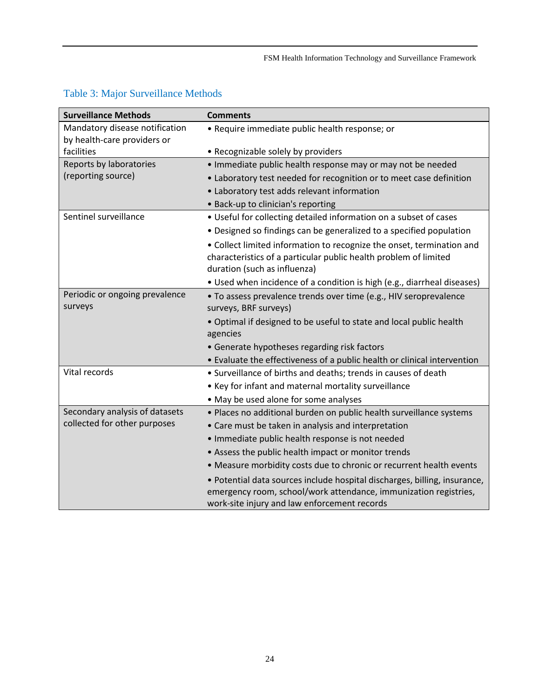| <b>Surveillance Methods</b>                                   | <b>Comments</b>                                                                                                                                                                               |
|---------------------------------------------------------------|-----------------------------------------------------------------------------------------------------------------------------------------------------------------------------------------------|
| Mandatory disease notification<br>by health-care providers or | • Require immediate public health response; or                                                                                                                                                |
| facilities                                                    | • Recognizable solely by providers                                                                                                                                                            |
| Reports by laboratories                                       | • Immediate public health response may or may not be needed                                                                                                                                   |
| (reporting source)                                            | • Laboratory test needed for recognition or to meet case definition                                                                                                                           |
|                                                               | • Laboratory test adds relevant information                                                                                                                                                   |
|                                                               | • Back-up to clinician's reporting                                                                                                                                                            |
| Sentinel surveillance                                         | • Useful for collecting detailed information on a subset of cases                                                                                                                             |
|                                                               | • Designed so findings can be generalized to a specified population                                                                                                                           |
|                                                               | • Collect limited information to recognize the onset, termination and<br>characteristics of a particular public health problem of limited<br>duration (such as influenza)                     |
|                                                               | • Used when incidence of a condition is high (e.g., diarrheal diseases)                                                                                                                       |
| Periodic or ongoing prevalence<br>surveys                     | · To assess prevalence trends over time (e.g., HIV seroprevalence<br>surveys, BRF surveys)                                                                                                    |
|                                                               | . Optimal if designed to be useful to state and local public health<br>agencies                                                                                                               |
|                                                               | • Generate hypotheses regarding risk factors                                                                                                                                                  |
|                                                               | • Evaluate the effectiveness of a public health or clinical intervention                                                                                                                      |
| Vital records                                                 | • Surveillance of births and deaths; trends in causes of death                                                                                                                                |
|                                                               | • Key for infant and maternal mortality surveillance                                                                                                                                          |
|                                                               | • May be used alone for some analyses                                                                                                                                                         |
| Secondary analysis of datasets                                | · Places no additional burden on public health surveillance systems                                                                                                                           |
| collected for other purposes                                  | • Care must be taken in analysis and interpretation                                                                                                                                           |
|                                                               | · Immediate public health response is not needed                                                                                                                                              |
|                                                               | • Assess the public health impact or monitor trends                                                                                                                                           |
|                                                               | • Measure morbidity costs due to chronic or recurrent health events                                                                                                                           |
|                                                               | · Potential data sources include hospital discharges, billing, insurance,<br>emergency room, school/work attendance, immunization registries,<br>work-site injury and law enforcement records |

### <span id="page-24-0"></span>Table 3: Major Surveillance Methods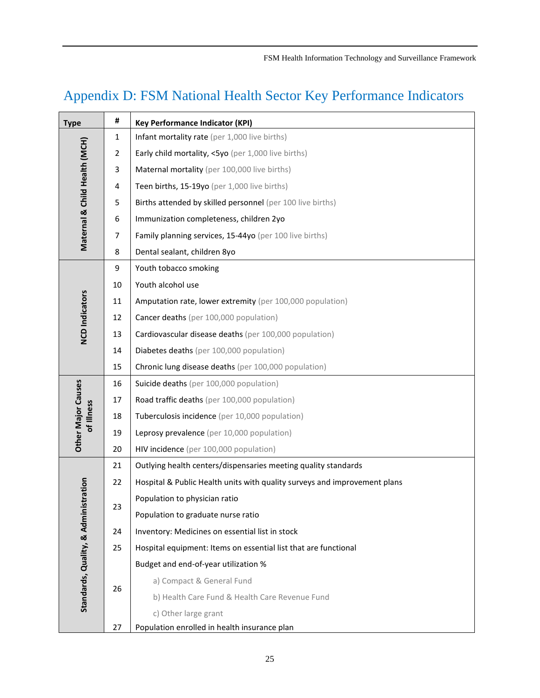# <span id="page-25-0"></span>Appendix D: FSM National Health Sector Key Performance Indicators

| <b>Type</b>                   | #                                                                                                          | <b>Key Performance Indicator (KPI)</b>                                    |  |  |  |  |
|-------------------------------|------------------------------------------------------------------------------------------------------------|---------------------------------------------------------------------------|--|--|--|--|
|                               | 1                                                                                                          | Infant mortality rate (per 1,000 live births)                             |  |  |  |  |
| $\overline{2}$                |                                                                                                            | Early child mortality, <5yo (per 1,000 live births)                       |  |  |  |  |
|                               | 3                                                                                                          | Maternal mortality (per 100,000 live births)                              |  |  |  |  |
|                               | 4                                                                                                          | Teen births, 15-19yo (per 1,000 live births)                              |  |  |  |  |
|                               | 5                                                                                                          | Births attended by skilled personnel (per 100 live births)                |  |  |  |  |
|                               | 6                                                                                                          | Immunization completeness, children 2yo                                   |  |  |  |  |
| Maternal & Child Health (MCH) | $\overline{7}$                                                                                             | Family planning services, 15-44yo (per 100 live births)                   |  |  |  |  |
|                               | 8                                                                                                          | Dental sealant, children 8yo                                              |  |  |  |  |
|                               | 9                                                                                                          | Youth tobacco smoking                                                     |  |  |  |  |
|                               | 10                                                                                                         | Youth alcohol use                                                         |  |  |  |  |
|                               | 11                                                                                                         | Amputation rate, lower extremity (per 100,000 population)                 |  |  |  |  |
| <b>NCD Indicators</b>         | 12                                                                                                         | Cancer deaths (per 100,000 population)                                    |  |  |  |  |
|                               | 13                                                                                                         | Cardiovascular disease deaths (per 100,000 population)                    |  |  |  |  |
|                               | 14                                                                                                         | Diabetes deaths (per 100,000 population)                                  |  |  |  |  |
|                               | 15                                                                                                         | Chronic lung disease deaths (per 100,000 population)                      |  |  |  |  |
|                               | 16                                                                                                         | Suicide deaths (per 100,000 population)                                   |  |  |  |  |
| <b>Other Major Causes</b>     | 17<br>Road traffic deaths (per 100,000 population)<br>Tuberculosis incidence (per 10,000 population)<br>18 |                                                                           |  |  |  |  |
| of Illness                    |                                                                                                            |                                                                           |  |  |  |  |
|                               | 19                                                                                                         | Leprosy prevalence (per 10,000 population)                                |  |  |  |  |
|                               | 20                                                                                                         | HIV incidence (per 100,000 population)                                    |  |  |  |  |
|                               | 21                                                                                                         | Outlying health centers/dispensaries meeting quality standards            |  |  |  |  |
|                               | 22                                                                                                         | Hospital & Public Health units with quality surveys and improvement plans |  |  |  |  |
| stration                      | 23                                                                                                         | Population to physician ratio                                             |  |  |  |  |
|                               |                                                                                                            | Population to graduate nurse ratio                                        |  |  |  |  |
|                               | 24                                                                                                         | Inventory: Medicines on essential list in stock                           |  |  |  |  |
|                               | 25                                                                                                         | Hospital equipment: Items on essential list that are functional           |  |  |  |  |
|                               |                                                                                                            | Budget and end-of-year utilization %                                      |  |  |  |  |
|                               |                                                                                                            | a) Compact & General Fund                                                 |  |  |  |  |
| Standards, Quality, & Admini  | 26                                                                                                         | b) Health Care Fund & Health Care Revenue Fund                            |  |  |  |  |
|                               |                                                                                                            | c) Other large grant                                                      |  |  |  |  |
|                               | 27                                                                                                         | Population enrolled in health insurance plan                              |  |  |  |  |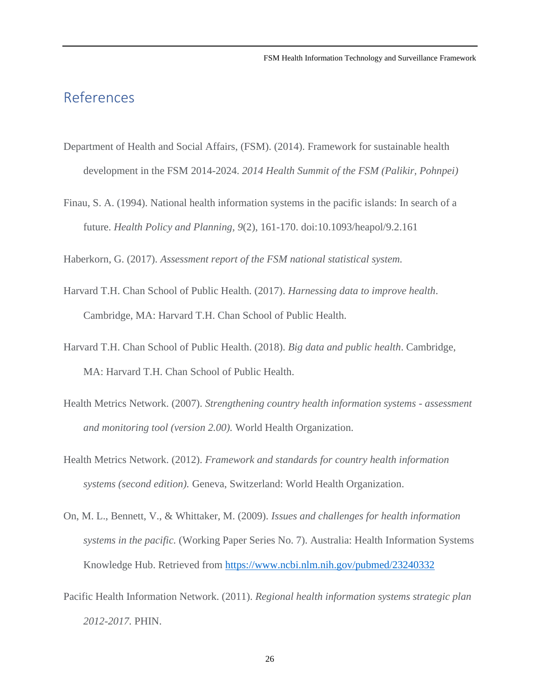### <span id="page-26-0"></span>References

- Department of Health and Social Affairs, (FSM). (2014). Framework for sustainable health development in the FSM 2014-2024. *2014 Health Summit of the FSM (Palikir, Pohnpei)*
- Finau, S. A. (1994). National health information systems in the pacific islands: In search of a future. *Health Policy and Planning, 9*(2), 161-170. doi:10.1093/heapol/9.2.161

Haberkorn, G. (2017). *Assessment report of the FSM national statistical system.*

- Harvard T.H. Chan School of Public Health. (2017). *Harnessing data to improve health*. Cambridge, MA: Harvard T.H. Chan School of Public Health.
- Harvard T.H. Chan School of Public Health. (2018). *Big data and public health*. Cambridge, MA: Harvard T.H. Chan School of Public Health.
- Health Metrics Network. (2007). *Strengthening country health information systems - assessment and monitoring tool (version 2.00).* World Health Organization.
- Health Metrics Network. (2012). *Framework and standards for country health information systems (second edition).* Geneva, Switzerland: World Health Organization.
- On, M. L., Bennett, V., & Whittaker, M. (2009). *Issues and challenges for health information systems in the pacific.* (Working Paper Series No. 7). Australia: Health Information Systems Knowledge Hub. Retrieved from <https://www.ncbi.nlm.nih.gov/pubmed/23240332>
- Pacific Health Information Network. (2011). *Regional health information systems strategic plan 2012-2017.* PHIN.